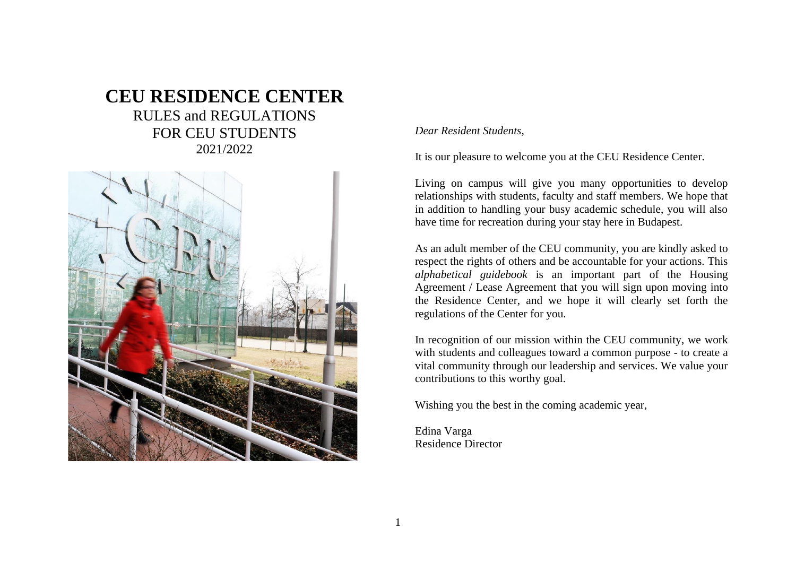# **CEU RESIDENCE CENTER** RULES and REGULATIONS FOR CEU STUDENTS 2021/2022



*Dear Resident Students,*

It is our pleasure to welcome you at the CEU Residence Center.

Living on campus will give you many opportunities to develop relationships with students, faculty and staff members. We hope that in addition to handling your busy academic schedule, you will also have time for recreation during your stay here in Budapest.

As an adult member of the CEU community, you are kindly asked to respect the rights of others and be accountable for your actions. This *alphabetical guidebook* is an important part of the Housing Agreement / Lease Agreement that you will sign upon moving into the Residence Center, and we hope it will clearly set forth the regulations of the Center for you.

In recognition of our mission within the CEU community, we work with students and colleagues toward a common purpose - to create a vital community through our leadership and services. We value your contributions to this worthy goal.

Wishing you the best in the coming academic year,

Edina Varga Residence Director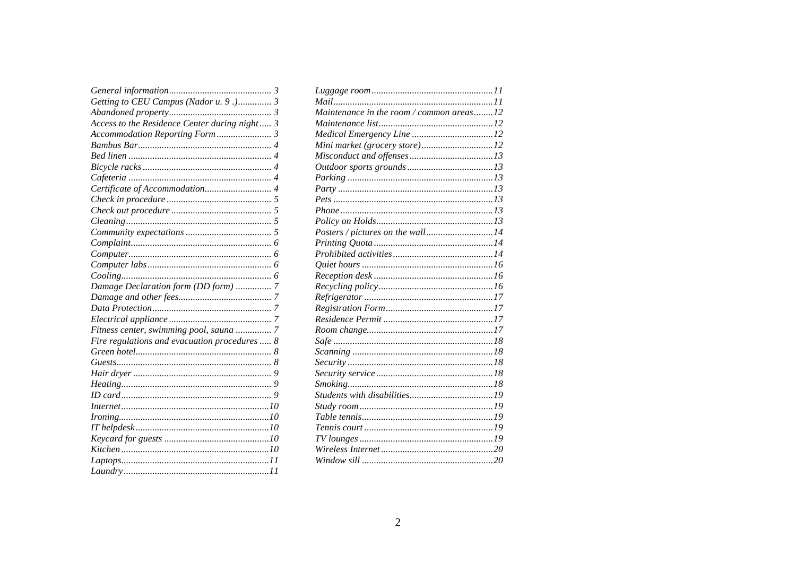| Getting to CEU Campus (Nador u. 9.) 3         |  |
|-----------------------------------------------|--|
|                                               |  |
| Access to the Residence Center during night 3 |  |
|                                               |  |
|                                               |  |
|                                               |  |
|                                               |  |
|                                               |  |
|                                               |  |
|                                               |  |
|                                               |  |
|                                               |  |
|                                               |  |
|                                               |  |
|                                               |  |
|                                               |  |
|                                               |  |
| Damage Declaration form (DD form)  7          |  |
|                                               |  |
|                                               |  |
|                                               |  |
| Fitness center, swimming pool, sauna  7       |  |
| Fire regulations and evacuation procedures  8 |  |
|                                               |  |
|                                               |  |
|                                               |  |
|                                               |  |
|                                               |  |
|                                               |  |
|                                               |  |
|                                               |  |
|                                               |  |
|                                               |  |
|                                               |  |
|                                               |  |
|                                               |  |

| Maintenance in the room / common areas12 |  |
|------------------------------------------|--|
|                                          |  |
|                                          |  |
|                                          |  |
|                                          |  |
|                                          |  |
|                                          |  |
|                                          |  |
|                                          |  |
|                                          |  |
|                                          |  |
|                                          |  |
|                                          |  |
|                                          |  |
|                                          |  |
|                                          |  |
|                                          |  |
|                                          |  |
|                                          |  |
|                                          |  |
|                                          |  |
|                                          |  |
|                                          |  |
|                                          |  |
|                                          |  |
|                                          |  |
|                                          |  |
|                                          |  |
|                                          |  |
|                                          |  |
|                                          |  |
|                                          |  |
|                                          |  |
|                                          |  |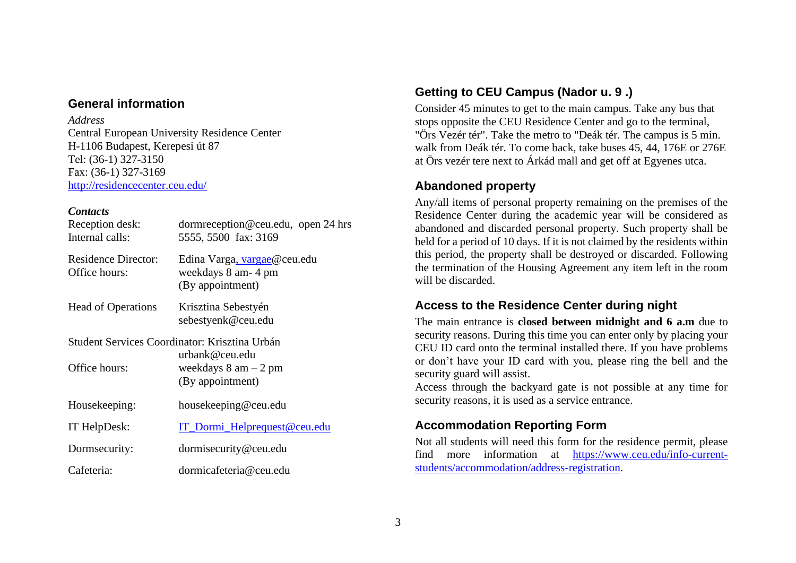#### <span id="page-2-0"></span>**General information**

#### *Address*

Central European University Residence Center H-1106 Budapest, Kerepesi út 87 Tel: (36-1) 327-3150 Fax: (36-1) 327-3169 <http://residencecenter.ceu.edu/>

#### *Contacts*

| Reception desk:<br>Internal calls:          | dormreception@ceu.edu, open 24 hrs<br>5555, 5500 fax: 3169                                                                    |
|---------------------------------------------|-------------------------------------------------------------------------------------------------------------------------------|
| <b>Residence Director:</b><br>Office hours: | Edina Varga, vargae@ceu.edu<br>weekdays 8 am- 4 pm<br>(By appointment)                                                        |
| <b>Head of Operations</b>                   | Krisztina Sebestyén<br>sebestyenk@ceu.edu                                                                                     |
| Office hours:                               | Student Services Coordinator: Krisztina Urbán<br>urbank@ceu.edu<br>weekdays $8 \text{ am} - 2 \text{ pm}$<br>(By appointment) |
| Housekeeping:                               | housekeeping@ceu.edu                                                                                                          |
| IT HelpDesk:                                | IT_Dormi_Helprequest@ceu.edu                                                                                                  |
| Dormsecurity:                               | dormisecurity@ceu.edu                                                                                                         |
| Cafeteria:                                  | dormicafeteria@ceu.edu                                                                                                        |

# <span id="page-2-1"></span>**Getting to CEU Campus (Nador u. 9 .)**

Consider 45 minutes to get to the main campus. Take any bus that stops opposite the CEU Residence Center and go to the terminal, "Örs Vezér tér". Take the metro to "Deák tér. The campus is 5 min. walk from Deák tér. To come back, take buses 45, 44, 176E or 276E at Örs vezér tere next to Árkád mall and get off at Egyenes utca.

### <span id="page-2-2"></span>**Abandoned property**

Any/all items of personal property remaining on the premises of the Residence Center during the academic year will be considered as abandoned and discarded personal property. Such property shall be held for a period of 10 days. If it is not claimed by the residents within this period, the property shall be destroyed or discarded. Following the termination of the Housing Agreement any item left in the room will be discarded.

## <span id="page-2-3"></span>**Access to the Residence Center during night**

The main entrance is **closed between midnight and 6 a.m** due to security reasons. During this time you can enter only by placing your CEU ID card onto the terminal installed there. If you have problems or don't have your ID card with you, please ring the bell and the security guard will assist.

Access through the backyard gate is not possible at any time for security reasons, it is used as a service entrance.

### <span id="page-2-4"></span>**Accommodation Reporting Form**

Not all students will need this form for the residence permit, please find more information at [https://www.ceu.edu/info-current](https://www.ceu.edu/info-current-students/accommodation/address-registration)[students/accommodation/address-registration.](https://www.ceu.edu/info-current-students/accommodation/address-registration)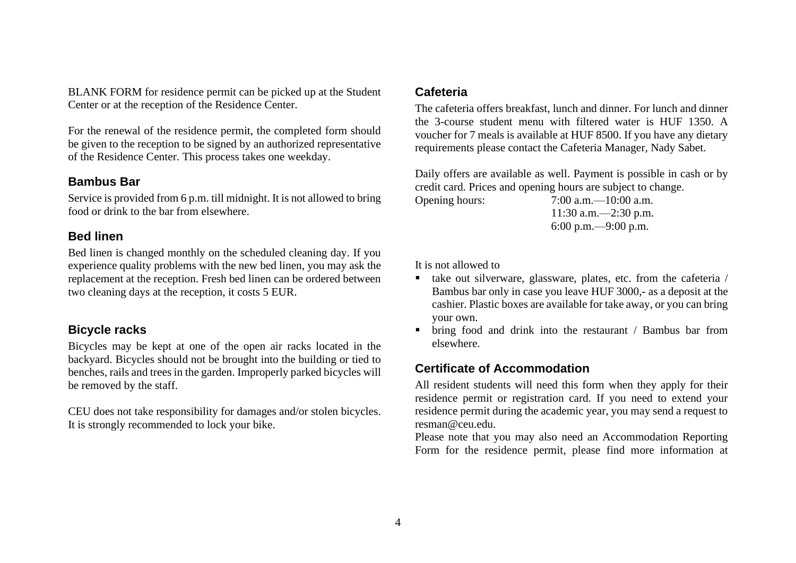BLANK FORM for residence permit can be picked up at the Student Center or at the reception of the Residence Center.

For the renewal of the residence permit, the completed form should be given to the reception to be signed by an authorized representative of the Residence Center. This process takes one weekday.

#### <span id="page-3-0"></span>**Bambus Bar**

Service is provided from 6 p.m. till midnight. It is not allowed to bring food or drink to the bar from elsewhere.

#### <span id="page-3-1"></span>**Bed linen**

Bed linen is changed monthly on the scheduled cleaning day. If you experience quality problems with the new bed linen, you may ask the replacement at the reception. Fresh bed linen can be ordered between two cleaning days at the reception, it costs 5 EUR.

### <span id="page-3-2"></span>**Bicycle racks**

Bicycles may be kept at one of the open air racks located in the backyard. Bicycles should not be brought into the building or tied to benches, rails and trees in the garden. Improperly parked bicycles will be removed by the staff.

CEU does not take responsibility for damages and/or stolen bicycles. It is strongly recommended to lock your bike.

#### <span id="page-3-3"></span>**Cafeteria**

The cafeteria offers breakfast, lunch and dinner. For lunch and dinner the 3-course student menu with filtered water is HUF 1350. A voucher for 7 meals is available at HUF 8500. If you have any dietary requirements please contact the Cafeteria Manager, Nady Sabet.

Daily offers are available as well. Payment is possible in cash or by credit card. Prices and opening hours are subject to change.

Opening hours: 7:00 a.m.—10:00 a.m. 11:30 a.m.—2:30 p.m. 6:00 p.m.—9:00 p.m.

It is not allowed to

- take out silverware, glassware, plates, etc. from the cafeteria / Bambus bar only in case you leave HUF 3000,- as a deposit at the cashier. Plastic boxes are available for take away, or you can bring your own.
- bring food and drink into the restaurant / Bambus bar from elsewhere.

## <span id="page-3-4"></span>**Certificate of Accommodation**

All resident students will need this form when they apply for their residence permit or registration card. If you need to extend your residence permit during the academic year, you may send a request to resman@ceu.edu.

Please note that you may also need an Accommodation Reporting Form for the residence permit, please find more information at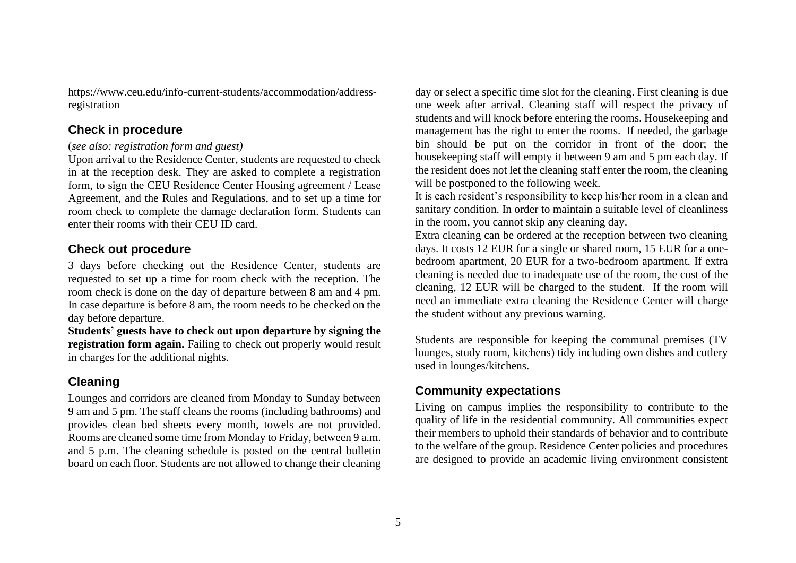https://www.ceu.edu/info-current-students/accommodation/addressregistration

### <span id="page-4-0"></span>**Check in procedure**

#### (*see also: registration form and guest)*

Upon arrival to the Residence Center, students are requested to check in at the reception desk. They are asked to complete a registration form, to sign the CEU Residence Center Housing agreement / Lease Agreement, and the Rules and Regulations, and to set up a time for room check to complete the damage declaration form. Students can enter their rooms with their CEU ID card.

### <span id="page-4-1"></span>**Check out procedure**

3 days before checking out the Residence Center, students are requested to set up a time for room check with the reception. The room check is done on the day of departure between 8 am and 4 pm. In case departure is before 8 am, the room needs to be checked on the day before departure.

**Students' guests have to check out upon departure by signing the registration form again.** Failing to check out properly would result in charges for the additional nights.

# <span id="page-4-2"></span>**Cleaning**

Lounges and corridors are cleaned from Monday to Sunday between 9 am and 5 pm. The staff cleans the rooms (including bathrooms) and provides clean bed sheets every month, towels are not provided. Rooms are cleaned some time from Monday to Friday, between 9 a.m. and 5 p.m. The cleaning schedule is posted on the central bulletin board on each floor. Students are not allowed to change their cleaning day or select a specific time slot for the cleaning. First cleaning is due one week after arrival. Cleaning staff will respect the privacy of students and will knock before entering the rooms. Housekeeping and management has the right to enter the rooms. If needed, the garbage bin should be put on the corridor in front of the door; the housekeeping staff will empty it between 9 am and 5 pm each day. If the resident does not let the cleaning staff enter the room, the cleaning will be postponed to the following week.

It is each resident's responsibility to keep his/her room in a clean and sanitary condition. In order to maintain a suitable level of cleanliness in the room, you cannot skip any cleaning day.

Extra cleaning can be ordered at the reception between two cleaning days. It costs 12 EUR for a single or shared room, 15 EUR for a onebedroom apartment, 20 EUR for a two-bedroom apartment. If extra cleaning is needed due to inadequate use of the room, the cost of the cleaning, 12 EUR will be charged to the student. If the room will need an immediate extra cleaning the Residence Center will charge the student without any previous warning.

Students are responsible for keeping the communal premises (TV lounges, study room, kitchens) tidy including own dishes and cutlery used in lounges/kitchens.

# <span id="page-4-3"></span>**Community expectations**

Living on campus implies the responsibility to contribute to the quality of life in the residential community. All communities expect their members to uphold their standards of behavior and to contribute to the welfare of the group. Residence Center policies and procedures are designed to provide an academic living environment consistent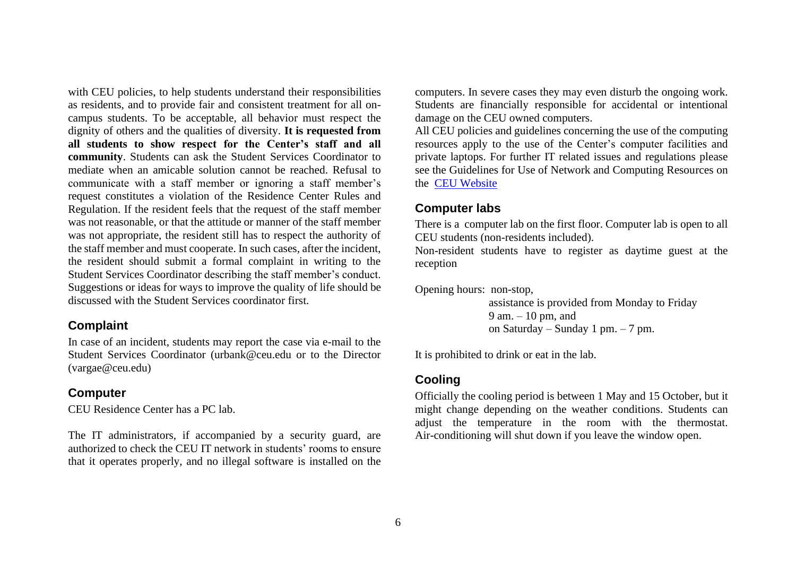with CEU policies, to help students understand their responsibilities as residents, and to provide fair and consistent treatment for all oncampus students. To be acceptable, all behavior must respect the dignity of others and the qualities of diversity. **It is requested from all students to show respect for the Center's staff and all community**. Students can ask the Student Services Coordinator to mediate when an amicable solution cannot be reached. Refusal to communicate with a staff member or ignoring a staff member's request constitutes a violation of the Residence Center Rules and Regulation. If the resident feels that the request of the staff member was not reasonable, or that the attitude or manner of the staff member was not appropriate, the resident still has to respect the authority of the staff member and must cooperate. In such cases, after the incident, the resident should submit a formal complaint in writing to the Student Services Coordinator describing the staff member's conduct. Suggestions or ideas for ways to improve the quality of life should be discussed with the Student Services coordinator first.

#### <span id="page-5-0"></span>**Complaint**

In case of an incident, students may report the case via e-mail to the Student Services Coordinator (urbank@ceu.edu or to the Director (vargae@ceu.edu)

## <span id="page-5-1"></span>**Computer**

CEU Residence Center has a PC lab.

The IT administrators, if accompanied by a security guard, are authorized to check the CEU IT network in students' rooms to ensure that it operates properly, and no illegal software is installed on the computers. In severe cases they may even disturb the ongoing work. Students are financially responsible for accidental or intentional damage on the CEU owned computers.

All CEU policies and guidelines concerning the use of the computing resources apply to the use of the Center's computer facilities and private laptops. For further IT related issues and regulations please see the Guidelines for Use of Network and Computing Resources on the [CEU Website](https://documents.ceu.edu/documents/g-0112)

# <span id="page-5-2"></span>**Computer labs**

There is a computer lab on the first floor. Computer lab is open to all CEU students (non-residents included).

Non-resident students have to register as daytime guest at the reception

Opening hours: non-stop,

assistance is provided from Monday to Friday 9 am. – 10 pm, and on Saturday – Sunday 1 pm. – 7 pm.

It is prohibited to drink or eat in the lab.

# <span id="page-5-3"></span>**Cooling**

Officially the cooling period is between 1 May and 15 October, but it might change depending on the weather conditions. Students can adjust the temperature in the room with the thermostat. Air-conditioning will shut down if you leave the window open.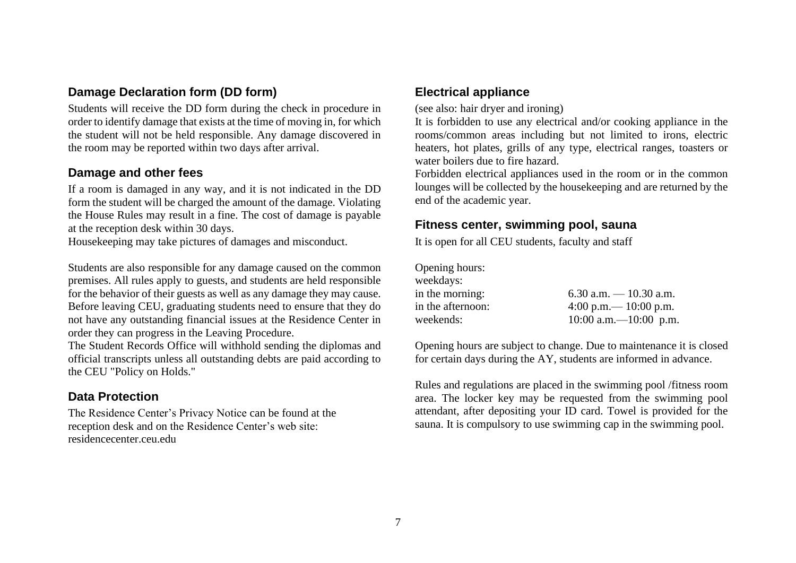### <span id="page-6-0"></span>**Damage Declaration form (DD form)**

Students will receive the DD form during the check in procedure in order to identify damage that exists at the time of moving in, for which the student will not be held responsible. Any damage discovered in the room may be reported within two days after arrival.

### <span id="page-6-1"></span>**Damage and other fees**

If a room is damaged in any way, and it is not indicated in the DD form the student will be charged the amount of the damage. Violating the House Rules may result in a fine. The cost of damage is payable at the reception desk within 30 days.

Housekeeping may take pictures of damages and misconduct.

Students are also responsible for any damage caused on the common premises. All rules apply to guests, and students are held responsible for the behavior of their guests as well as any damage they may cause. Before leaving CEU, graduating students need to ensure that they do not have any outstanding financial issues at the Residence Center in order they can progress in the Leaving Procedure.

The Student Records Office will withhold sending the diplomas and official transcripts unless all outstanding debts are paid according to the CEU "Policy on Holds."

# <span id="page-6-2"></span>**Data Protection**

The Residence Center's Privacy Notice can be found at the reception desk and on the Residence Center's web site: residencecenter.ceu.edu

### <span id="page-6-3"></span>**Electrical appliance**

(see also: hair dryer and ironing)

It is forbidden to use any electrical and/or cooking appliance in the rooms/common areas including but not limited to irons, electric heaters, hot plates, grills of any type, electrical ranges, toasters or water boilers due to fire hazard.

Forbidden electrical appliances used in the room or in the common lounges will be collected by the housekeeping and are returned by the end of the academic year.

## <span id="page-6-4"></span>**Fitness center, swimming pool, sauna**

It is open for all CEU students, faculty and staff

| Opening hours:    |                          |
|-------------------|--------------------------|
| weekdays:         |                          |
| in the morning:   | 6.30 a.m. $-10.30$ a.m.  |
| in the afternoon: | 4:00 p.m. $- 10:00$ p.m. |
| weekends:         | 10:00 a.m. $-10:00$ p.m. |

Opening hours are subject to change. Due to maintenance it is closed for certain days during the AY, students are informed in advance.

Rules and regulations are placed in the swimming pool /fitness room area. The locker key may be requested from the swimming pool attendant, after depositing your ID card. Towel is provided for the sauna. It is compulsory to use swimming cap in the swimming pool.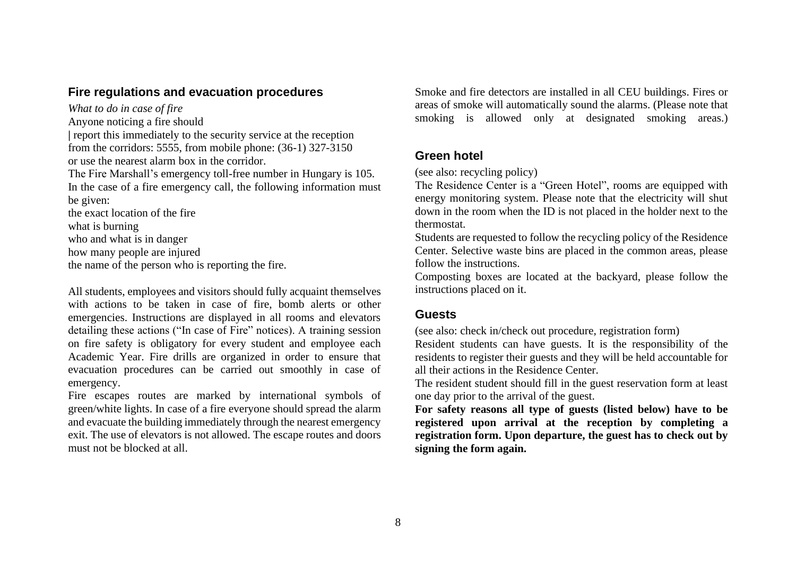#### <span id="page-7-0"></span>**Fire regulations and evacuation procedures**

*What to do in case of fire*  Anyone noticing a fire should **|** report this immediately to the security service at the reception from the corridors: 5555, from mobile phone: (36-1) 327-3150 or use the nearest alarm box in the corridor. The Fire Marshall's emergency toll-free number in Hungary is 105. In the case of a fire emergency call, the following information must be given: the exact location of the fire what is burning who and what is in danger how many people are injured the name of the person who is reporting the fire.

All students, employees and visitors should fully acquaint themselves with actions to be taken in case of fire, bomb alerts or other emergencies. Instructions are displayed in all rooms and elevators detailing these actions ("In case of Fire" notices). A training session on fire safety is obligatory for every student and employee each Academic Year. Fire drills are organized in order to ensure that evacuation procedures can be carried out smoothly in case of emergency.

Fire escapes routes are marked by international symbols of green/white lights. In case of a fire everyone should spread the alarm and evacuate the building immediately through the nearest emergency exit. The use of elevators is not allowed. The escape routes and doors must not be blocked at all.

Smoke and fire detectors are installed in all CEU buildings. Fires or areas of smoke will automatically sound the alarms. (Please note that smoking is allowed only at designated smoking areas.)

### <span id="page-7-1"></span>**Green hotel**

(see also: recycling policy)

The Residence Center is a "Green Hotel", rooms are equipped with energy monitoring system. Please note that the electricity will shut down in the room when the ID is not placed in the holder next to the thermostat.

Students are requested to follow the recycling policy of the Residence Center. Selective waste bins are placed in the common areas, please follow the instructions.

Composting boxes are located at the backyard, please follow the instructions placed on it.

#### <span id="page-7-2"></span>**Guests**

(see also: check in/check out procedure, registration form)

Resident students can have guests. It is the responsibility of the residents to register their guests and they will be held accountable for all their actions in the Residence Center.

The resident student should fill in the guest reservation form at least one day prior to the arrival of the guest.

**For safety reasons all type of guests (listed below) have to be registered upon arrival at the reception by completing a registration form. Upon departure, the guest has to check out by signing the form again.**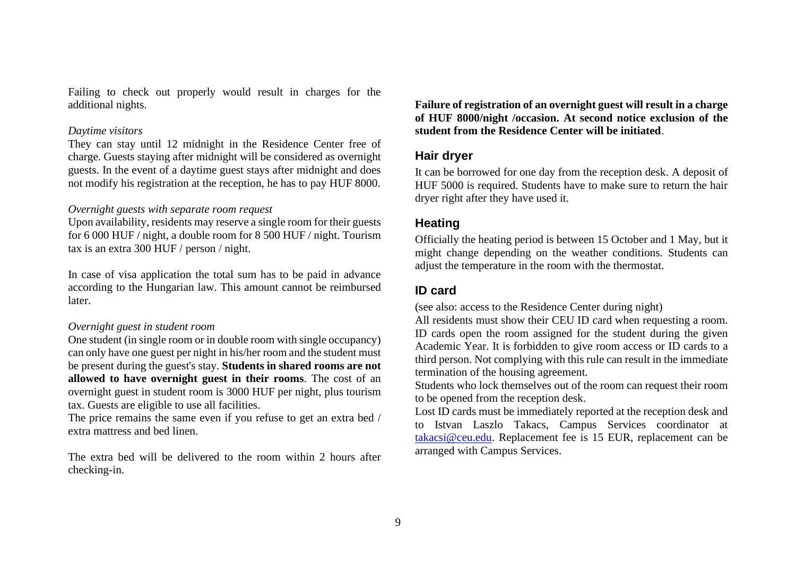Failing to check out properly would result in charges for the additional nights.

#### *Daytime visitors*

They can stay until 12 midnight in the Residence Center free of charge. Guests staying after midnight will be considered as overnight guests. In the event of a daytime guest stays after midnight and does not modify his registration at the reception, he has to pay HUF 8000.

#### *Overnight guests with separate room request*

Upon availability, residents may reserve a single room for their guests for 6 000 HUF / night, a double room for 8 500 HUF / night. Tourism tax is an extra 300 HUF / person / night.

In case of visa application the total sum has to be paid in advance according to the Hungarian law. This amount cannot be reimbursed later.

#### *Overnight guest in student room*

One student (in single room or in double room with single occupancy) can only have one guest per night in his/her room and the student must be present during the guest's stay. **Students in shared rooms are not allowed to have overnight guest in their rooms**. The cost of an overnight guest in student room is 3000 HUF per night, plus tourism tax. Guests are eligible to use all facilities.

The price remains the same even if you refuse to get an extra bed / extra mattress and bed linen.

The extra bed will be delivered to the room within 2 hours after checking-in.

**Failure of registration of an overnight guest will result in a charge of HUF 8000/night /occasion. At second notice exclusion of the student from the Residence Center will be initiated**.

#### <span id="page-8-0"></span>**Hair dryer**

It can be borrowed for one day from the reception desk. A deposit of HUF 5000 is required. Students have to make sure to return the hair dryer right after they have used it.

#### <span id="page-8-1"></span>**Heating**

Officially the heating period is between 15 October and 1 May, but it might change depending on the weather conditions. Students can adjust the temperature in the room with the thermostat.

### <span id="page-8-2"></span>**ID card**

(see also: access to the Residence Center during night)

All residents must show their CEU ID card when requesting a room. ID cards open the room assigned for the student during the given Academic Year. It is forbidden to give room access or ID cards to a third person. Not complying with this rule can result in the immediate termination of the housing agreement.

Students who lock themselves out of the room can request their room to be opened from the reception desk.

Lost ID cards must be immediately reported at the reception desk and to Istvan Laszlo Takacs, Campus Services coordinator at [takacsi@ceu.edu.](mailto:takacsi@ceu.edu) Replacement fee is 15 EUR, replacement can be arranged with Campus Services.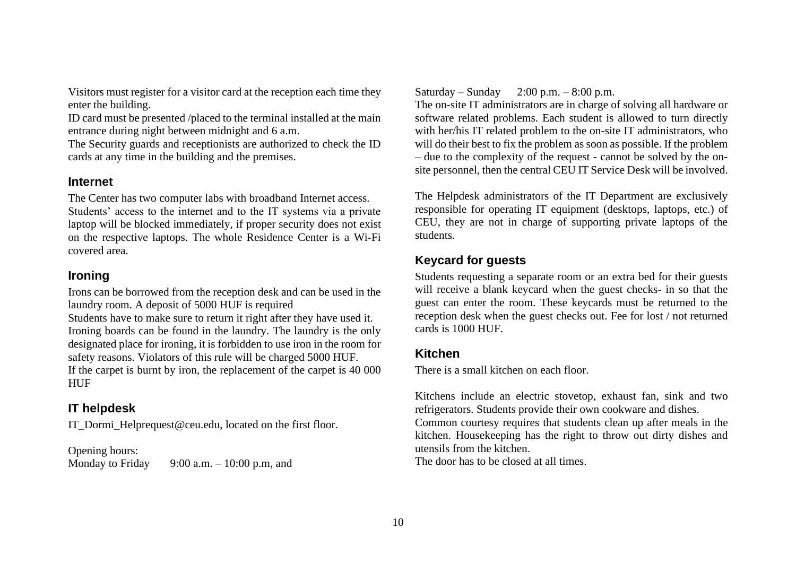Visitors must register for a visitor card at the reception each time they enter the building.

ID card must be presented /placed to the terminal installed at the main entrance during night between midnight and 6 a.m.

The Security guards and receptionists are authorized to check the ID cards at any time in the building and the premises.

### <span id="page-9-0"></span>**Internet**

The Center has two computer labs with broadband Internet access.

Students' access to the internet and to the IT systems via a private laptop will be blocked immediately, if proper security does not exist on the respective laptops. The whole Residence Center is a Wi-Fi covered area.

# <span id="page-9-1"></span>**Ironing**

Irons can be borrowed from the reception desk and can be used in the laundry room. A deposit of 5000 HUF is required Students have to make sure to return it right after they have used it. Ironing boards can be found in the laundry. The laundry is the only designated place for ironing, it is forbidden to use iron in the room for safety reasons. Violators of this rule will be charged 5000 HUF. If the carpet is burnt by iron, the replacement of the carpet is 40 000 **HUF** 

# <span id="page-9-2"></span>**IT helpdesk**

IT\_Dormi\_Helprequest@ceu.edu, located on the first floor.

Opening hours:

Monday to Friday  $9:00$  a.m.  $-10:00$  p.m, and

## Saturday – Sunday – 2:00 p.m. – 8:00 p.m.

The on-site IT administrators are in charge of solving all hardware or software related problems. Each student is allowed to turn directly with her/his IT related problem to the on-site IT administrators, who will do their best to fix the problem as soon as possible. If the problem – due to the complexity of the request - cannot be solved by the onsite personnel, then the central CEU IT Service Desk will be involved.

The Helpdesk administrators of the IT Department are exclusively responsible for operating IT equipment (desktops, laptops, etc.) of CEU, they are not in charge of supporting private laptops of the students.

# <span id="page-9-3"></span>**Keycard for guests**

Students requesting a separate room or an extra bed for their guests will receive a blank keycard when the guest checks- in so that the guest can enter the room. These keycards must be returned to the reception desk when the guest checks out. Fee for lost / not returned cards is 1000 HUF.

# <span id="page-9-4"></span>**Kitchen**

There is a small kitchen on each floor.

Kitchens include an electric stovetop, exhaust fan, sink and two refrigerators. Students provide their own cookware and dishes.

Common courtesy requires that students clean up after meals in the kitchen. Housekeeping has the right to throw out dirty dishes and utensils from the kitchen.

The door has to be closed at all times.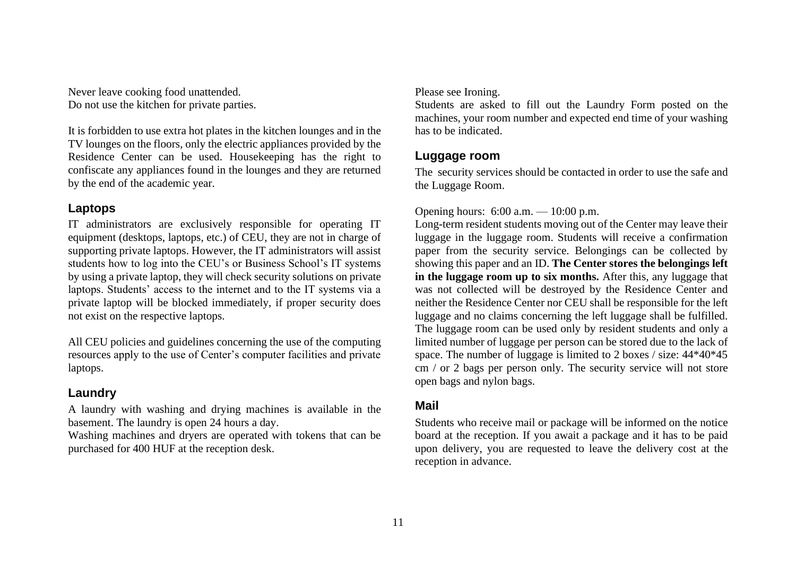Never leave cooking food unattended. Do not use the kitchen for private parties.

It is forbidden to use extra hot plates in the kitchen lounges and in the TV lounges on the floors, only the electric appliances provided by the Residence Center can be used. Housekeeping has the right to confiscate any appliances found in the lounges and they are returned by the end of the academic year.

## <span id="page-10-0"></span>**Laptops**

IT administrators are exclusively responsible for operating IT equipment (desktops, laptops, etc.) of CEU, they are not in charge of supporting private laptops. However, the IT administrators will assist students how to log into the CEU's or Business School's IT systems by using a private laptop, they will check security solutions on private laptops. Students' access to the internet and to the IT systems via a private laptop will be blocked immediately, if proper security does not exist on the respective laptops.

All CEU policies and guidelines concerning the use of the computing resources apply to the use of Center's computer facilities and private laptops.

# <span id="page-10-1"></span>**Laundry**

A laundry with washing and drying machines is available in the basement. The laundry is open 24 hours a day.

Washing machines and dryers are operated with tokens that can be purchased for 400 HUF at the reception desk.

#### Please see Ironing.

Students are asked to fill out the Laundry Form posted on the machines, your room number and expected end time of your washing has to be indicated.

## <span id="page-10-2"></span>**Luggage room**

The security services should be contacted in order to use the safe and the Luggage Room.

## Opening hours: 6:00 a.m. — 10:00 p.m.

Long-term resident students moving out of the Center may leave their luggage in the luggage room. Students will receive a confirmation paper from the security service. Belongings can be collected by showing this paper and an ID. **The Center stores the belongings left in the luggage room up to six months.** After this, any luggage that was not collected will be destroyed by the Residence Center and neither the Residence Center nor CEU shall be responsible for the left luggage and no claims concerning the left luggage shall be fulfilled. The luggage room can be used only by resident students and only a limited number of luggage per person can be stored due to the lack of space. The number of luggage is limited to 2 boxes / size: 44\*40\*45 cm / or 2 bags per person only. The security service will not store open bags and nylon bags.

## <span id="page-10-3"></span>**Mail**

Students who receive mail or package will be informed on the notice board at the reception. If you await a package and it has to be paid upon delivery, you are requested to leave the delivery cost at the reception in advance.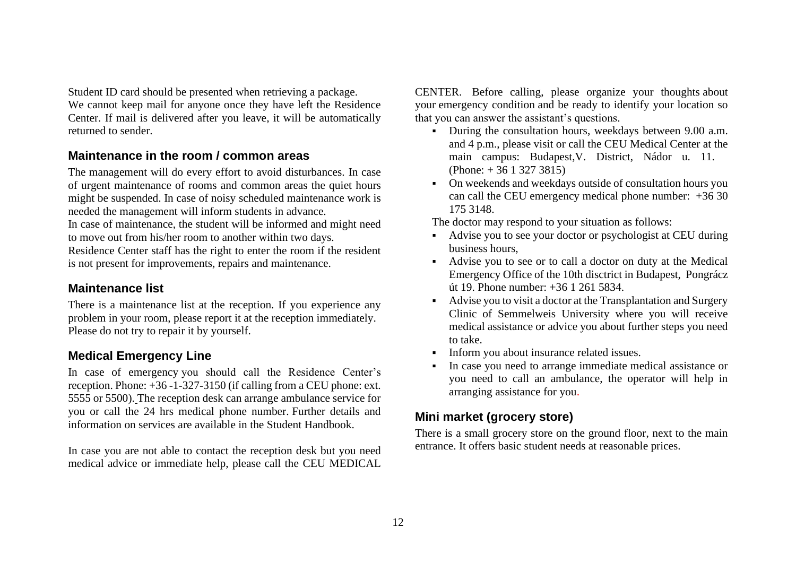Student ID card should be presented when retrieving a package. We cannot keep mail for anyone once they have left the Residence Center. If mail is delivered after you leave, it will be automatically returned to sender.

### <span id="page-11-0"></span>**Maintenance in the room / common areas**

The management will do every effort to avoid disturbances. In case of urgent maintenance of rooms and common areas the quiet hours might be suspended. In case of noisy scheduled maintenance work is needed the management will inform students in advance.

In case of maintenance, the student will be informed and might need to move out from his/her room to another within two days.

Residence Center staff has the right to enter the room if the resident is not present for improvements, repairs and maintenance.

### <span id="page-11-1"></span>**Maintenance list**

There is a maintenance list at the reception. If you experience any problem in your room, please report it at the reception immediately. Please do not try to repair it by yourself.

# <span id="page-11-2"></span>**Medical Emergency Line**

In case of emergency you should call the Residence Center's reception. Phone: +36 -1-327-3150 (if calling from a CEU phone: ext. 5555 or 5500). The reception desk can arrange ambulance service for you or call the 24 hrs medical phone number. Further details and information on services are available in the Student Handbook.

In case you are not able to contact the reception desk but you need medical advice or immediate help, please call the CEU MEDICAL CENTER. Before calling, please organize your thoughts about your emergency condition and be ready to identify your location so that you can answer the assistant's questions.

- During the consultation hours, weekdays between 9.00 a.m. and 4 p.m., please visit or call the CEU Medical Center at the main campus: Budapest,V. District, Nádor u. 11. (Phone: + 36 1 327 3815)
- On weekends and weekdays outside of consultation hours you can call the CEU emergency medical phone number: +36 30 175 3148.

The doctor may respond to your situation as follows:

- Advise you to see your doctor or psychologist at CEU during business hours,
- Advise you to see or to call a doctor on duty at the Medical Emergency Office of the 10th disctrict in Budapest, Pongrácz út 19. Phone number: +36 1 261 5834.
- Advise you to visit a doctor at the Transplantation and Surgery Clinic of Semmelweis University where you will receive medical assistance or advice you about further steps you need to take.
- **•** Inform you about insurance related issues.
- In case you need to arrange immediate medical assistance or you need to call an ambulance, the operator will help in arranging assistance for you.

## <span id="page-11-3"></span>**Mini market (grocery store)**

There is a small grocery store on the ground floor, next to the main entrance. It offers basic student needs at reasonable prices.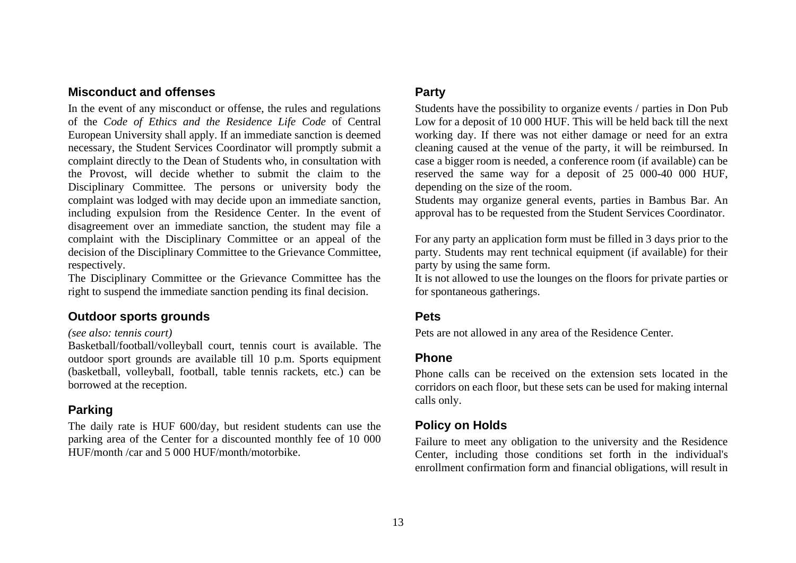### <span id="page-12-0"></span>**Misconduct and offenses**

In the event of any misconduct or offense, the rules and regulations of the *Code of Ethics and the Residence Life Code* of Central European University shall apply. If an immediate sanction is deemed necessary, the Student Services Coordinator will promptly submit a complaint directly to the Dean of Students who, in consultation with the Provost, will decide whether to submit the claim to the Disciplinary Committee. The persons or university body the complaint was lodged with may decide upon an immediate sanction, including expulsion from the Residence Center. In the event of disagreement over an immediate sanction, the student may file a complaint with the Disciplinary Committee or an appeal of the decision of the Disciplinary Committee to the Grievance Committee, respectively.

The Disciplinary Committee or the Grievance Committee has the right to suspend the immediate sanction pending its final decision.

#### <span id="page-12-1"></span>**Outdoor sports grounds**

#### *(see also: tennis court)*

Basketball/football/volleyball court, tennis court is available. The outdoor sport grounds are available till 10 p.m. Sports equipment (basketball, volleyball, football, table tennis rackets, etc.) can be borrowed at the reception.

#### <span id="page-12-2"></span>**Parking**

The daily rate is HUF 600/day, but resident students can use the parking area of the Center for a discounted monthly fee of 10 000 HUF/month /car and 5 000 HUF/month/motorbike.

#### <span id="page-12-3"></span>**Party**

Students have the possibility to organize events / parties in Don Pub Low for a deposit of 10 000 HUF. This will be held back till the next working day. If there was not either damage or need for an extra cleaning caused at the venue of the party, it will be reimbursed. In case a bigger room is needed, a conference room (if available) can be reserved the same way for a deposit of 25 000-40 000 HUF, depending on the size of the room.

Students may organize general events, parties in Bambus Bar. An approval has to be requested from the Student Services Coordinator.

For any party an application form must be filled in 3 days prior to the party. Students may rent technical equipment (if available) for their party by using the same form.

It is not allowed to use the lounges on the floors for private parties or for spontaneous gatherings.

#### <span id="page-12-4"></span>**Pets**

<span id="page-12-5"></span>Pets are not allowed in any area of the Residence Center.

### **Phone**

Phone calls can be received on the extension sets located in the corridors on each floor, but these sets can be used for making internal calls only.

#### <span id="page-12-6"></span>**Policy on Holds**

Failure to meet any obligation to the university and the Residence Center, including those conditions set forth in the individual's enrollment confirmation form and financial obligations, will result in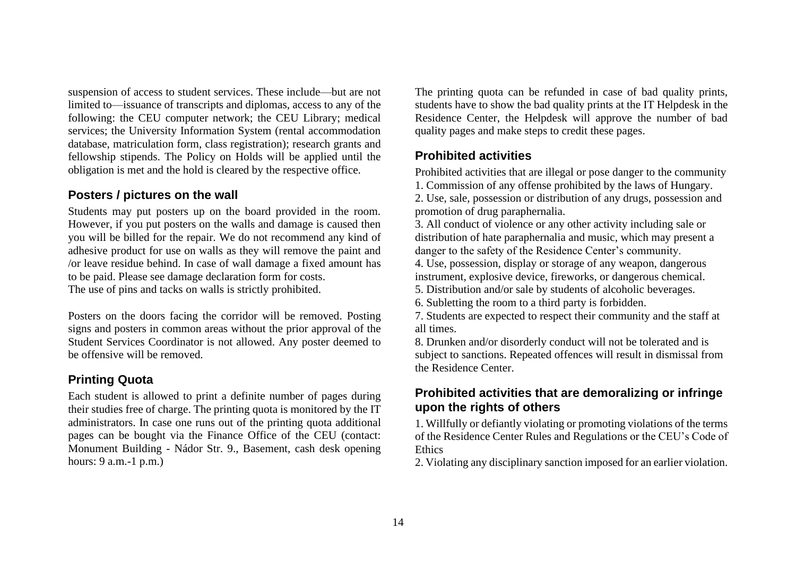suspension of access to student services. These include—but are not limited to—issuance of transcripts and diplomas, access to any of the following: the CEU computer network; the CEU Library; medical services; the University Information System (rental accommodation database, matriculation form, class registration); research grants and fellowship stipends. The Policy on Holds will be applied until the obligation is met and the hold is cleared by the respective office.

#### <span id="page-13-0"></span>**Posters / pictures on the wall**

Students may put posters up on the board provided in the room. However, if you put posters on the walls and damage is caused then you will be billed for the repair. We do not recommend any kind of adhesive product for use on walls as they will remove the paint and /or leave residue behind. In case of wall damage a fixed amount has to be paid. Please see damage declaration form for costs. The use of pins and tacks on walls is strictly prohibited.

Posters on the doors facing the corridor will be removed. Posting signs and posters in common areas without the prior approval of the Student Services Coordinator is not allowed. Any poster deemed to be offensive will be removed.

## <span id="page-13-1"></span>**Printing Quota**

Each student is allowed to print a definite number of pages during their studies free of charge. The printing quota is monitored by the IT administrators. In case one runs out of the printing quota additional pages can be bought via the Finance Office of the CEU (contact: Monument Building - Nádor Str. 9., Basement, cash desk opening hours: 9 a.m.-1 p.m.)

The printing quota can be refunded in case of bad quality prints, students have to show the bad quality prints at the IT Helpdesk in the Residence Center, the Helpdesk will approve the number of bad quality pages and make steps to credit these pages.

## <span id="page-13-2"></span>**Prohibited activities**

Prohibited activities that are illegal or pose danger to the community 1. Commission of any offense prohibited by the laws of Hungary.

2. Use, sale, possession or distribution of any drugs, possession and promotion of drug paraphernalia.

3. All conduct of violence or any other activity including sale or distribution of hate paraphernalia and music, which may present a danger to the safety of the Residence Center's community.

4. Use, possession, display or storage of any weapon, dangerous instrument, explosive device, fireworks, or dangerous chemical.

5. Distribution and/or sale by students of alcoholic beverages.

6. Subletting the room to a third party is forbidden.

7. Students are expected to respect their community and the staff at all times.

8. Drunken and/or disorderly conduct will not be tolerated and is subject to sanctions. Repeated offences will result in dismissal from the Residence Center.

## **Prohibited activities that are demoralizing or infringe upon the rights of others**

1. Willfully or defiantly violating or promoting violations of the terms of the Residence Center Rules and Regulations or the CEU's Code of **Ethics** 

2. Violating any disciplinary sanction imposed for an earlier violation.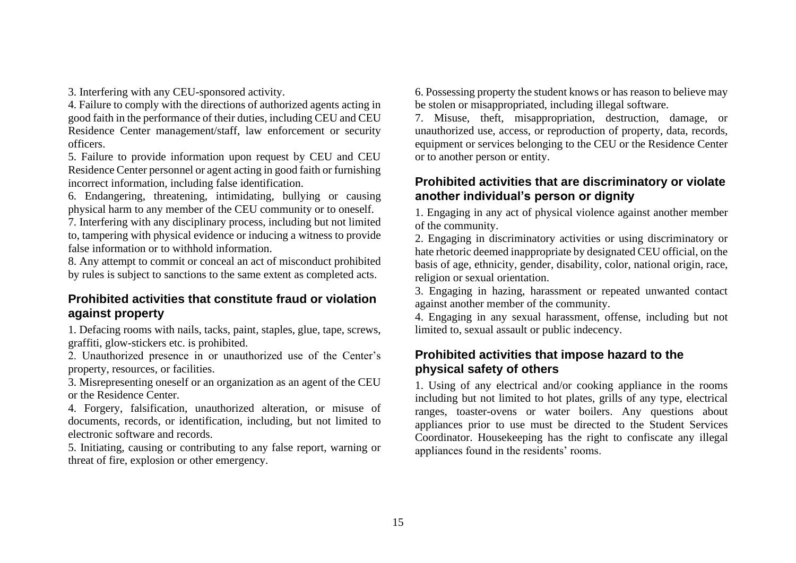3. Interfering with any CEU-sponsored activity.

4. Failure to comply with the directions of authorized agents acting in good faith in the performance of their duties, including CEU and CEU Residence Center management/staff, law enforcement or security officers.

5. Failure to provide information upon request by CEU and CEU Residence Center personnel or agent acting in good faith or furnishing incorrect information, including false identification.

6. Endangering, threatening, intimidating, bullying or causing physical harm to any member of the CEU community or to oneself.

7. Interfering with any disciplinary process, including but not limited to, tampering with physical evidence or inducing a witness to provide false information or to withhold information.

8. Any attempt to commit or conceal an act of misconduct prohibited by rules is subject to sanctions to the same extent as completed acts.

## **Prohibited activities that constitute fraud or violation against property**

1. Defacing rooms with nails, tacks, paint, staples, glue, tape, screws, graffiti, glow-stickers etc. is prohibited.

2. Unauthorized presence in or unauthorized use of the Center's property, resources, or facilities.

3. Misrepresenting oneself or an organization as an agent of the CEU or the Residence Center.

4. Forgery, falsification, unauthorized alteration, or misuse of documents, records, or identification, including, but not limited to electronic software and records.

5. Initiating, causing or contributing to any false report, warning or threat of fire, explosion or other emergency.

6. Possessing property the student knows or has reason to believe may be stolen or misappropriated, including illegal software.

7. Misuse, theft, misappropriation, destruction, damage, or unauthorized use, access, or reproduction of property, data, records, equipment or services belonging to the CEU or the Residence Center or to another person or entity.

## **Prohibited activities that are discriminatory or violate another individual's person or dignity**

1. Engaging in any act of physical violence against another member of the community.

2. Engaging in discriminatory activities or using discriminatory or hate rhetoric deemed inappropriate by designated CEU official, on the basis of age, ethnicity, gender, disability, color, national origin, race, religion or sexual orientation.

3. Engaging in hazing, harassment or repeated unwanted contact against another member of the community.

4. Engaging in any sexual harassment, offense, including but not limited to, sexual assault or public indecency.

# **Prohibited activities that impose hazard to the physical safety of others**

1. Using of any electrical and/or cooking appliance in the rooms including but not limited to hot plates, grills of any type, electrical ranges, toaster-ovens or water boilers. Any questions about appliances prior to use must be directed to the Student Services Coordinator. Housekeeping has the right to confiscate any illegal appliances found in the residents' rooms.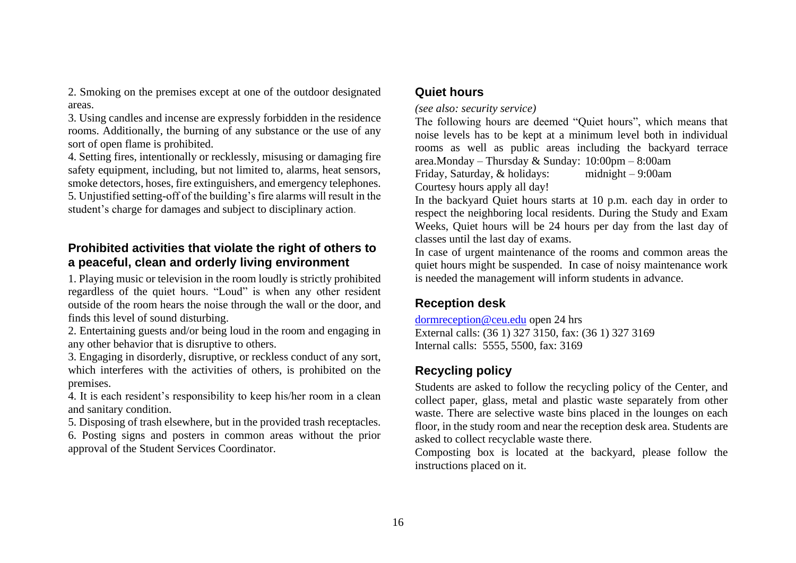2. Smoking on the premises except at one of the outdoor designated areas.

3. Using candles and incense are expressly forbidden in the residence rooms. Additionally, the burning of any substance or the use of any sort of open flame is prohibited.

4. Setting fires, intentionally or recklessly, misusing or damaging fire safety equipment, including, but not limited to, alarms, heat sensors, smoke detectors, hoses, fire extinguishers, and emergency telephones. 5. Unjustified setting-off of the building's fire alarms will result in the student's charge for damages and subject to disciplinary action.

### **Prohibited activities that violate the right of others to a peaceful, clean and orderly living environment**

1. Playing music or television in the room loudly is strictly prohibited regardless of the quiet hours. "Loud" is when any other resident outside of the room hears the noise through the wall or the door, and finds this level of sound disturbing.

2. Entertaining guests and/or being loud in the room and engaging in any other behavior that is disruptive to others.

3. Engaging in disorderly, disruptive, or reckless conduct of any sort, which interferes with the activities of others, is prohibited on the premises.

4. It is each resident's responsibility to keep his/her room in a clean and sanitary condition.

5. Disposing of trash elsewhere, but in the provided trash receptacles.

6. Posting signs and posters in common areas without the prior approval of the Student Services Coordinator.

#### <span id="page-15-0"></span>**Quiet hours**

#### *(see also: security service)*

The following hours are deemed "Quiet hours", which means that noise levels has to be kept at a minimum level both in individual rooms as well as public areas including the backyard terrace area.Monday – Thursday & Sunday: 10:00pm – 8:00am

Friday, Saturday, & holidays: midnight – 9:00am Courtesy hours apply all day!

In the backyard Quiet hours starts at 10 p.m. each day in order to respect the neighboring local residents. During the Study and Exam Weeks, Quiet hours will be 24 hours per day from the last day of classes until the last day of exams.

In case of urgent maintenance of the rooms and common areas the quiet hours might be suspended. In case of noisy maintenance work is needed the management will inform students in advance.

# <span id="page-15-1"></span>**Reception desk**

[dormreception@ceu.edu](mailto:dormreception@ceu.edu) open 24 hrs External calls: (36 1) 327 3150, fax: (36 1) 327 3169 Internal calls: 5555, 5500, fax: 3169

# <span id="page-15-2"></span>**Recycling policy**

Students are asked to follow the recycling policy of the Center, and collect paper, glass, metal and plastic waste separately from other waste. There are selective waste bins placed in the lounges on each floor, in the study room and near the reception desk area. Students are asked to collect recyclable waste there.

Composting box is located at the backyard, please follow the instructions placed on it.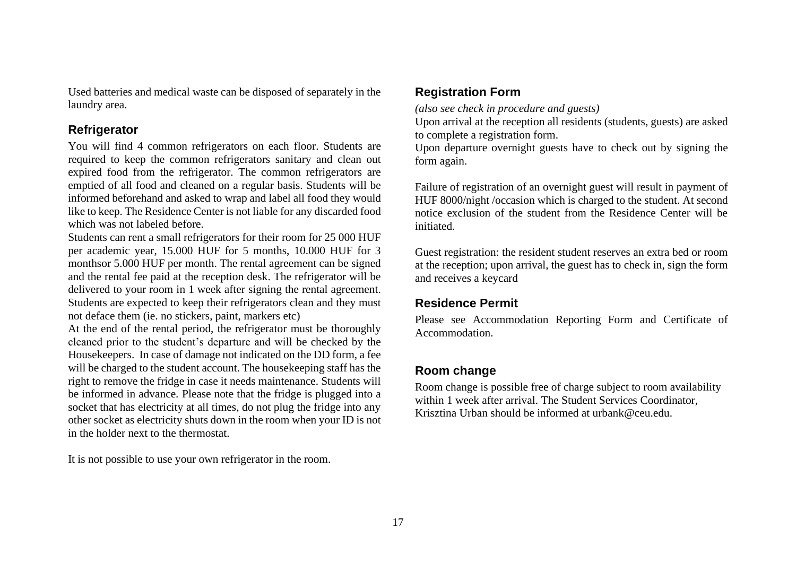Used batteries and medical waste can be disposed of separately in the laundry area.

#### <span id="page-16-0"></span>**Refrigerator**

You will find 4 common refrigerators on each floor. Students are required to keep the common refrigerators sanitary and clean out expired food from the refrigerator. The common refrigerators are emptied of all food and cleaned on a regular basis. Students will be informed beforehand and asked to wrap and label all food they would like to keep. The Residence Center is not liable for any discarded food which was not labeled before.

Students can rent a small refrigerators for their room for 25 000 HUF per academic year, 15.000 HUF for 5 months, 10.000 HUF for 3 monthsor 5.000 HUF per month. The rental agreement can be signed and the rental fee paid at the reception desk. The refrigerator will be delivered to your room in 1 week after signing the rental agreement. Students are expected to keep their refrigerators clean and they must not deface them (ie. no stickers, paint, markers etc)

At the end of the rental period, the refrigerator must be thoroughly cleaned prior to the student's departure and will be checked by the Housekeepers. In case of damage not indicated on the DD form, a fee will be charged to the student account. The housekeeping staff has the right to remove the fridge in case it needs maintenance. Students will be informed in advance. Please note that the fridge is plugged into a socket that has electricity at all times, do not plug the fridge into any other socket as electricity shuts down in the room when your ID is not in the holder next to the thermostat.

It is not possible to use your own refrigerator in the room.

#### <span id="page-16-1"></span>**Registration Form**

*(also see check in procedure and guests)*

Upon arrival at the reception all residents (students, guests) are asked to complete a registration form.

Upon departure overnight guests have to check out by signing the form again.

Failure of registration of an overnight guest will result in payment of HUF 8000/night /occasion which is charged to the student. At second notice exclusion of the student from the Residence Center will be initiated.

Guest registration: the resident student reserves an extra bed or room at the reception; upon arrival, the guest has to check in, sign the form and receives a keycard

### <span id="page-16-2"></span>**Residence Permit**

Please see Accommodation Reporting Form and Certificate of Accommodation.

## <span id="page-16-3"></span>**Room change**

Room change is possible free of charge subject to room availability within 1 week after arrival. The Student Services Coordinator, Krisztina Urban should be informed at urbank@ceu.edu.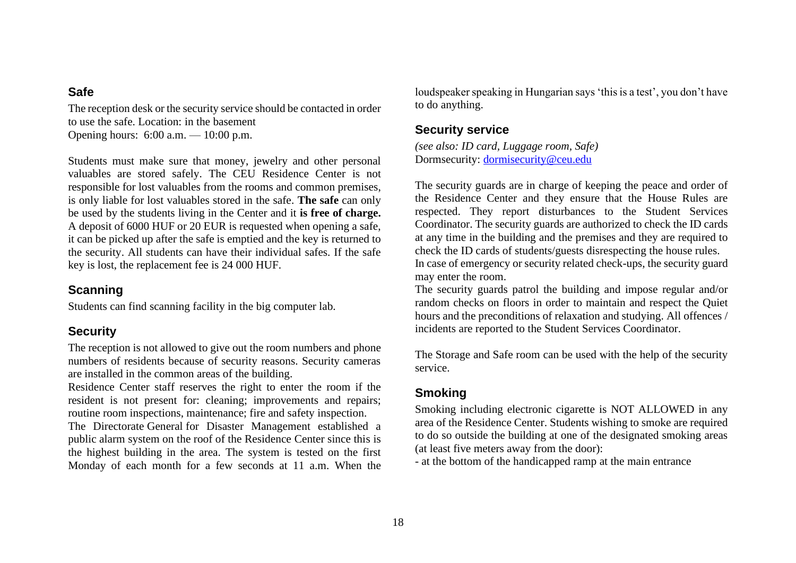#### <span id="page-17-0"></span>**Safe**

The reception desk or the security service should be contacted in order to use the safe. Location: in the basement Opening hours: 6:00 a.m. — 10:00 p.m.

Students must make sure that money, jewelry and other personal valuables are stored safely. The CEU Residence Center is not responsible for lost valuables from the rooms and common premises, is only liable for lost valuables stored in the safe. **The safe** can only be used by the students living in the Center and it **is free of charge.**  A deposit of 6000 HUF or 20 EUR is requested when opening a safe, it can be picked up after the safe is emptied and the key is returned to the security. All students can have their individual safes. If the safe key is lost, the replacement fee is 24 000 HUF.

### <span id="page-17-1"></span>**Scanning**

Students can find scanning facility in the big computer lab.

## <span id="page-17-2"></span>**Security**

The reception is not allowed to give out the room numbers and phone numbers of residents because of security reasons. Security cameras are installed in the common areas of the building.

Residence Center staff reserves the right to enter the room if the resident is not present for: cleaning; improvements and repairs; routine room inspections, maintenance; fire and safety inspection.

The Directorate General for Disaster Management established a public alarm system on the roof of the Residence Center since this is the highest building in the area. The system is tested on the first Monday of each month for a few seconds at 11 a.m. When the

loudspeaker speaking in Hungarian says 'this is a test', you don't have to do anything.

# <span id="page-17-3"></span>**Security service**

*(see also: ID card, Luggage room, Safe)* Dormsecurity: [dormisecurity@ceu.edu](mailto:dormisecurity@ceu.edu)

The security guards are in charge of keeping the peace and order of the Residence Center and they ensure that the House Rules are respected. They report disturbances to the Student Services Coordinator. The security guards are authorized to check the ID cards at any time in the building and the premises and they are required to check the ID cards of students/guests disrespecting the house rules. In case of emergency or security related check-ups, the security guard may enter the room.

The security guards patrol the building and impose regular and/or random checks on floors in order to maintain and respect the Quiet hours and the preconditions of relaxation and studying. All offences / incidents are reported to the Student Services Coordinator.

The Storage and Safe room can be used with the help of the security service.

# <span id="page-17-4"></span>**Smoking**

Smoking including electronic cigarette is NOT ALLOWED in any area of the Residence Center. Students wishing to smoke are required to do so outside the building at one of the designated smoking areas (at least five meters away from the door):

- at the bottom of the handicapped ramp at the main entrance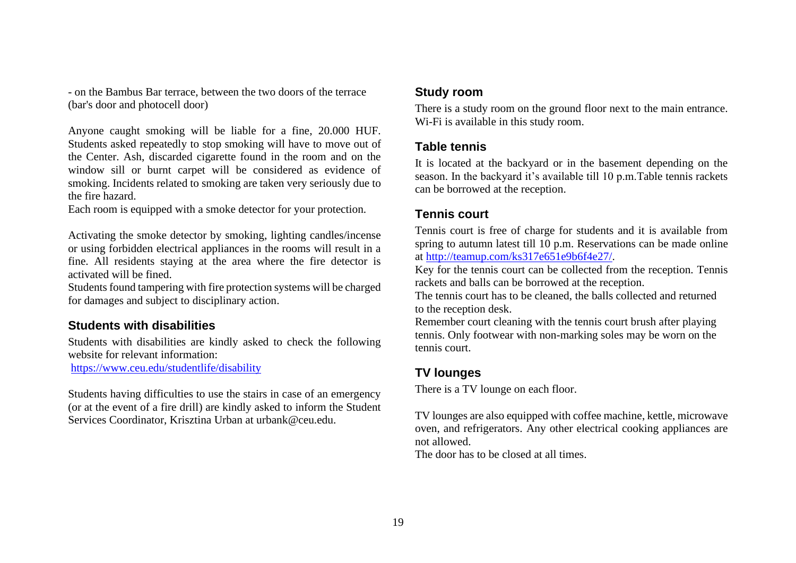- on the Bambus Bar terrace, between the two doors of the terrace (bar's door and photocell door)

Anyone caught smoking will be liable for a fine, 20.000 HUF. Students asked repeatedly to stop smoking will have to move out of the Center. Ash, discarded cigarette found in the room and on the window sill or burnt carpet will be considered as evidence of smoking. Incidents related to smoking are taken very seriously due to the fire hazard.

Each room is equipped with a smoke detector for your protection.

Activating the smoke detector by smoking, lighting candles/incense or using forbidden electrical appliances in the rooms will result in a fine. All residents staying at the area where the fire detector is activated will be fined.

Students found tampering with fire protection systems will be charged for damages and subject to disciplinary action.

### <span id="page-18-0"></span>**Students with disabilities**

Students with disabilities are kindly asked to check the following website for relevant information:

<https://www.ceu.edu/studentlife/disability>

Students having difficulties to use the stairs in case of an emergency (or at the event of a fire drill) are kindly asked to inform the Student Services Coordinator, Krisztina Urban at urbank@ceu.edu.

#### <span id="page-18-1"></span>**Study room**

There is a study room on the ground floor next to the main entrance. Wi-Fi is available in this study room.

### <span id="page-18-2"></span>**Table tennis**

It is located at the backyard or in the basement depending on the season. In the backyard it's available till 10 p.m.Table tennis rackets can be borrowed at the reception.

## <span id="page-18-3"></span>**Tennis court**

Tennis court is free of charge for students and it is available from spring to autumn latest till 10 p.m. Reservations can be made online at [http://teamup.com/ks317e651e9b6f4e27/.](http://teamup.com/ks317e651e9b6f4e27/)

Key for the tennis court can be collected from the reception. Tennis rackets and balls can be borrowed at the reception.

The tennis court has to be cleaned, the balls collected and returned to the reception desk.

Remember court cleaning with the tennis court brush after playing tennis. Only footwear with non-marking soles may be worn on the tennis court.

# <span id="page-18-4"></span>**TV lounges**

There is a TV lounge on each floor.

TV lounges are also equipped with coffee machine, kettle, microwave oven, and refrigerators. Any other electrical cooking appliances are not allowed.

The door has to be closed at all times.